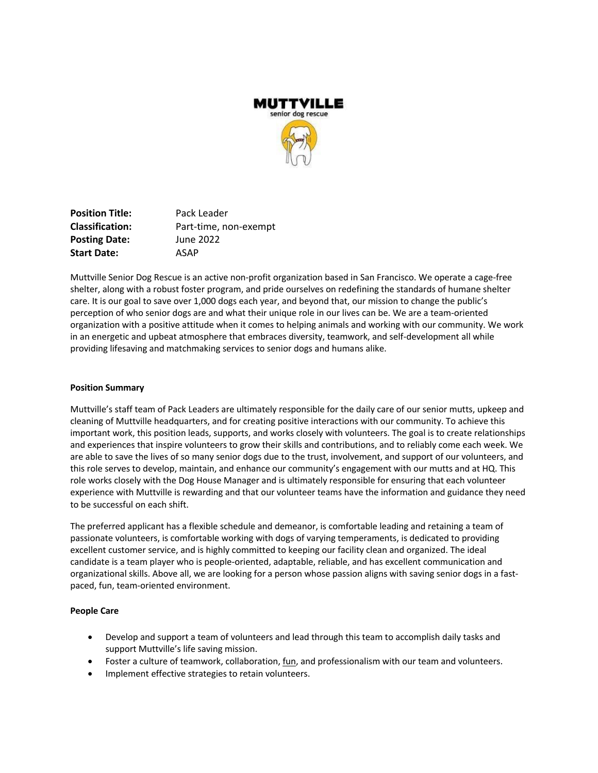

**Position Title:** Pack Leader **Classification:** Part-time, non-exempt **Posting Date:** June 2022 **Start Date:** ASAP

Muttville Senior Dog Rescue is an active non-profit organization based in San Francisco. We operate a cage-free shelter, along with a robust foster program, and pride ourselves on redefining the standards of humane shelter care. It is our goal to save over 1,000 dogs each year, and beyond that, our mission to change the public's perception of who senior dogs are and what their unique role in our lives can be. We are a team-oriented organization with a positive attitude when it comes to helping animals and working with our community. We work in an energetic and upbeat atmosphere that embraces diversity, teamwork, and self-development all while providing lifesaving and matchmaking services to senior dogs and humans alike.

#### **Position Summary**

Muttville's staff team of Pack Leaders are ultimately responsible for the daily care of our senior mutts, upkeep and cleaning of Muttville headquarters, and for creating positive interactions with our community. To achieve this important work, this position leads, supports, and works closely with volunteers. The goal is to create relationships and experiences that inspire volunteers to grow their skills and contributions, and to reliably come each week. We are able to save the lives of so many senior dogs due to the trust, involvement, and support of our volunteers, and this role serves to develop, maintain, and enhance our community's engagement with our mutts and at HQ. This role works closely with the Dog House Manager and is ultimately responsible for ensuring that each volunteer experience with Muttville is rewarding and that our volunteer teams have the information and guidance they need to be successful on each shift.

The preferred applicant has a flexible schedule and demeanor, is comfortable leading and retaining a team of passionate volunteers, is comfortable working with dogs of varying temperaments, is dedicated to providing excellent customer service, and is highly committed to keeping our facility clean and organized. The ideal candidate is a team player who is people-oriented, adaptable, reliable, and has excellent communication and organizational skills. Above all, we are looking for a person whose passion aligns with saving senior dogs in a fastpaced, fun, team-oriented environment.

## **People Care**

- Develop and support a team of volunteers and lead through this team to accomplish daily tasks and support Muttville's life saving mission.
- Foster a culture of teamwork, collaboration, fun, and professionalism with our team and volunteers.
- Implement effective strategies to retain volunteers.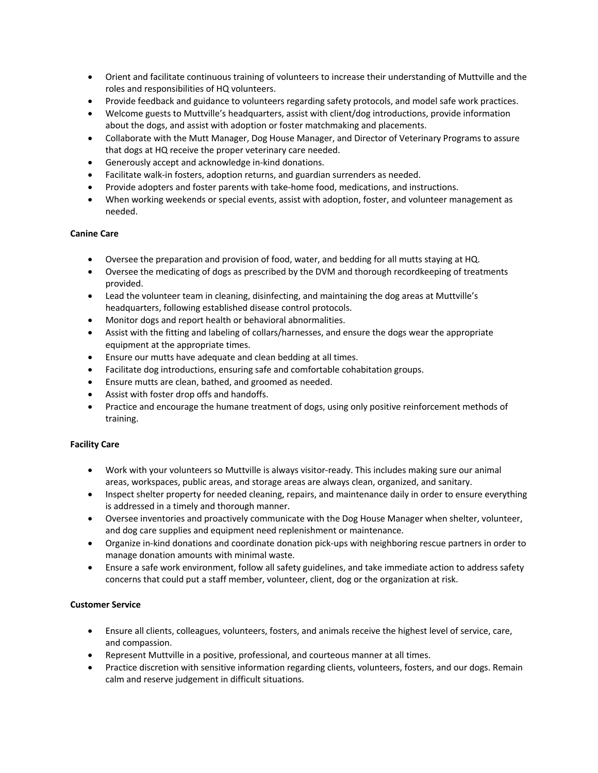- Orient and facilitate continuous training of volunteers to increase their understanding of Muttville and the roles and responsibilities of HQ volunteers.
- Provide feedback and guidance to volunteers regarding safety protocols, and model safe work practices.
- Welcome guests to Muttville's headquarters, assist with client/dog introductions, provide information about the dogs, and assist with adoption or foster matchmaking and placements.
- Collaborate with the Mutt Manager, Dog House Manager, and Director of Veterinary Programs to assure that dogs at HQ receive the proper veterinary care needed.
- Generously accept and acknowledge in-kind donations.
- Facilitate walk-in fosters, adoption returns, and guardian surrenders as needed.
- Provide adopters and foster parents with take-home food, medications, and instructions.
- When working weekends or special events, assist with adoption, foster, and volunteer management as needed.

## **Canine Care**

- Oversee the preparation and provision of food, water, and bedding for all mutts staying at HQ.
- Oversee the medicating of dogs as prescribed by the DVM and thorough recordkeeping of treatments provided.
- Lead the volunteer team in cleaning, disinfecting, and maintaining the dog areas at Muttville's headquarters, following established disease control protocols.
- Monitor dogs and report health or behavioral abnormalities.
- Assist with the fitting and labeling of collars/harnesses, and ensure the dogs wear the appropriate equipment at the appropriate times.
- Ensure our mutts have adequate and clean bedding at all times.
- Facilitate dog introductions, ensuring safe and comfortable cohabitation groups.
- Ensure mutts are clean, bathed, and groomed as needed.
- Assist with foster drop offs and handoffs.
- Practice and encourage the humane treatment of dogs, using only positive reinforcement methods of training.

## **Facility Care**

- Work with your volunteers so Muttville is always visitor-ready. This includes making sure our animal areas, workspaces, public areas, and storage areas are always clean, organized, and sanitary.
- Inspect shelter property for needed cleaning, repairs, and maintenance daily in order to ensure everything is addressed in a timely and thorough manner.
- Oversee inventories and proactively communicate with the Dog House Manager when shelter, volunteer, and dog care supplies and equipment need replenishment or maintenance.
- Organize in-kind donations and coordinate donation pick-ups with neighboring rescue partners in order to manage donation amounts with minimal waste.
- Ensure a safe work environment, follow all safety guidelines, and take immediate action to address safety concerns that could put a staff member, volunteer, client, dog or the organization at risk.

## **Customer Service**

- Ensure all clients, colleagues, volunteers, fosters, and animals receive the highest level of service, care, and compassion.
- Represent Muttville in a positive, professional, and courteous manner at all times.
- Practice discretion with sensitive information regarding clients, volunteers, fosters, and our dogs. Remain calm and reserve judgement in difficult situations.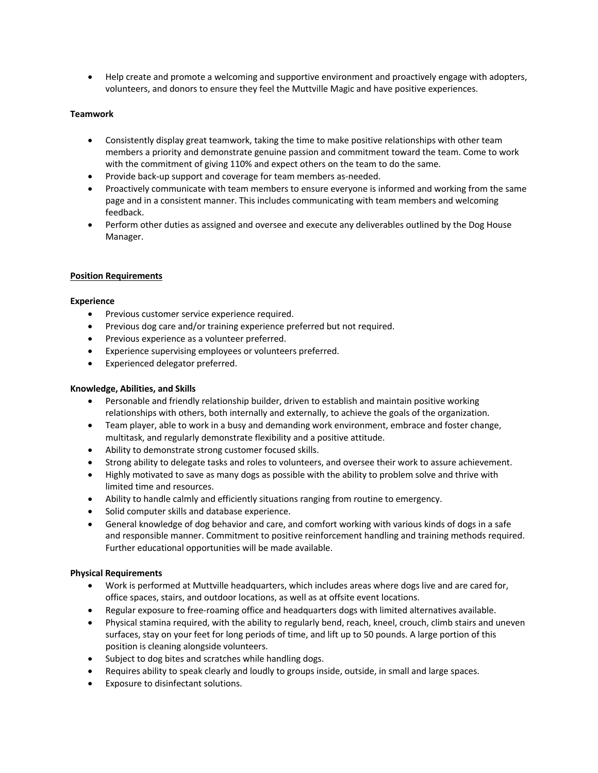• Help create and promote a welcoming and supportive environment and proactively engage with adopters, volunteers, and donors to ensure they feel the Muttville Magic and have positive experiences.

## **Teamwork**

- Consistently display great teamwork, taking the time to make positive relationships with other team members a priority and demonstrate genuine passion and commitment toward the team. Come to work with the commitment of giving 110% and expect others on the team to do the same.
- Provide back-up support and coverage for team members as-needed.
- Proactively communicate with team members to ensure everyone is informed and working from the same page and in a consistent manner. This includes communicating with team members and welcoming feedback.
- Perform other duties as assigned and oversee and execute any deliverables outlined by the Dog House Manager.

## **Position Requirements**

### **Experience**

- Previous customer service experience required.
- Previous dog care and/or training experience preferred but not required.
- Previous experience as a volunteer preferred.
- Experience supervising employees or volunteers preferred.
- Experienced delegator preferred.

## **Knowledge, Abilities, and Skills**

- Personable and friendly relationship builder, driven to establish and maintain positive working relationships with others, both internally and externally, to achieve the goals of the organization.
- Team player, able to work in a busy and demanding work environment, embrace and foster change, multitask, and regularly demonstrate flexibility and a positive attitude.
- Ability to demonstrate strong customer focused skills.
- Strong ability to delegate tasks and roles to volunteers, and oversee their work to assure achievement.
- Highly motivated to save as many dogs as possible with the ability to problem solve and thrive with limited time and resources.
- Ability to handle calmly and efficiently situations ranging from routine to emergency.
- Solid computer skills and database experience.
- General knowledge of dog behavior and care, and comfort working with various kinds of dogs in a safe and responsible manner. Commitment to positive reinforcement handling and training methods required. Further educational opportunities will be made available.

## **Physical Requirements**

- Work is performed at Muttville headquarters, which includes areas where dogs live and are cared for, office spaces, stairs, and outdoor locations, as well as at offsite event locations.
- Regular exposure to free-roaming office and headquarters dogs with limited alternatives available.
- Physical stamina required, with the ability to regularly bend, reach, kneel, crouch, climb stairs and uneven surfaces, stay on your feet for long periods of time, and lift up to 50 pounds. A large portion of this position is cleaning alongside volunteers.
- Subject to dog bites and scratches while handling dogs.
- Requires ability to speak clearly and loudly to groups inside, outside, in small and large spaces.
- Exposure to disinfectant solutions.